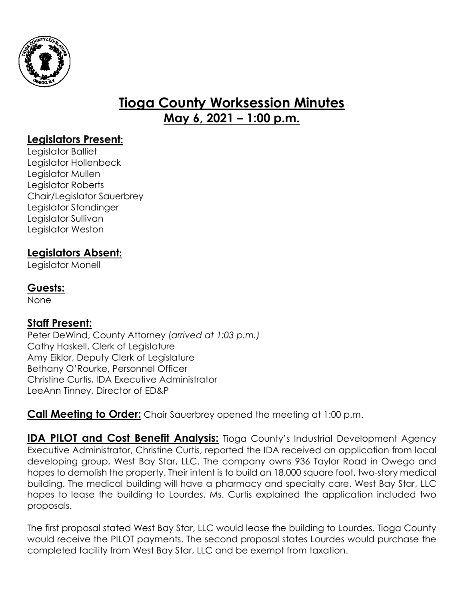

# **Tioga County Worksession Minutes May 6, 2021 – 1:00 p.m.**

## **Legislators Present:**

Legislator Balliet Legislator Hollenbeck Legislator Mullen Legislator Roberts Chair/Legislator Sauerbrey Legislator Standinger Legislator Sullivan Legislator Weston

## **Legislators Absent:**

Legislator Monell

## **Guests:**

None

### **Staff Present:**

Peter DeWind, County Attorney (*arrived at 1:03 p.m.)* Cathy Haskell, Clerk of Legislature Amy Eiklor, Deputy Clerk of Legislature Bethany O'Rourke, Personnel Officer Christine Curtis, IDA Executive Administrator LeeAnn Tinney, Director of ED&P

**Call Meeting to Order:** Chair Sauerbrey opened the meeting at 1:00 p.m.

**IDA PILOT and Cost Benefit Analysis:** Tioga County's Industrial Development Agency Executive Administrator, Christine Curtis, reported the IDA received an application from local developing group, West Bay Star, LLC. The company owns 936 Taylor Road in Owego and hopes to demolish the property. Their intent is to build an 18,000 square foot, two-story medical building. The medical building will have a pharmacy and specialty care. West Bay Star, LLC hopes to lease the building to Lourdes. Ms. Curtis explained the application included two proposals.

The first proposal stated West Bay Star, LLC would lease the building to Lourdes. Tioga County would receive the PILOT payments. The second proposal states Lourdes would purchase the completed facility from West Bay Star, LLC and be exempt from taxation.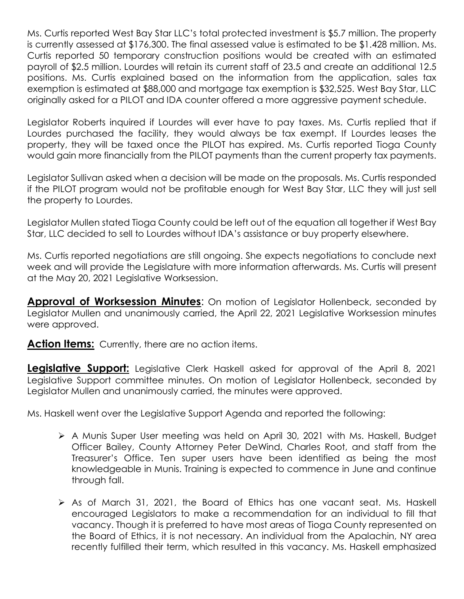Ms. Curtis reported West Bay Star LLC's total protected investment is \$5.7 million. The property is currently assessed at \$176,300. The final assessed value is estimated to be \$1.428 million. Ms. Curtis reported 50 temporary construction positions would be created with an estimated payroll of \$2.5 million. Lourdes will retain its current staff of 23.5 and create an additional 12.5 positions. Ms. Curtis explained based on the information from the application, sales tax exemption is estimated at \$88,000 and mortgage tax exemption is \$32,525. West Bay Star, LLC originally asked for a PILOT and IDA counter offered a more aggressive payment schedule.

Legislator Roberts inquired if Lourdes will ever have to pay taxes. Ms. Curtis replied that if Lourdes purchased the facility, they would always be tax exempt. If Lourdes leases the property, they will be taxed once the PILOT has expired. Ms. Curtis reported Tioga County would gain more financially from the PILOT payments than the current property tax payments.

Legislator Sullivan asked when a decision will be made on the proposals. Ms. Curtis responded if the PILOT program would not be profitable enough for West Bay Star, LLC they will just sell the property to Lourdes.

Legislator Mullen stated Tioga County could be left out of the equation all together if West Bay Star, LLC decided to sell to Lourdes without IDA's assistance or buy property elsewhere.

Ms. Curtis reported negotiations are still ongoing. She expects negotiations to conclude next week and will provide the Legislature with more information afterwards. Ms. Curtis will present at the May 20, 2021 Legislative Worksession.

**Approval of Worksession Minutes**: On motion of Legislator Hollenbeck, seconded by Legislator Mullen and unanimously carried, the April 22, 2021 Legislative Worksession minutes were approved.

**Action Items:** Currently, there are no action items.

**Legislative Support:** Legislative Clerk Haskell asked for approval of the April 8, 2021 Legislative Support committee minutes. On motion of Legislator Hollenbeck, seconded by Legislator Mullen and unanimously carried, the minutes were approved.

Ms. Haskell went over the Legislative Support Agenda and reported the following:

- A Munis Super User meeting was held on April 30, 2021 with Ms. Haskell, Budget Officer Bailey, County Attorney Peter DeWind, Charles Root, and staff from the Treasurer's Office. Ten super users have been identified as being the most knowledgeable in Munis. Training is expected to commence in June and continue through fall.
- As of March 31, 2021, the Board of Ethics has one vacant seat. Ms. Haskell encouraged Legislators to make a recommendation for an individual to fill that vacancy. Though it is preferred to have most areas of Tioga County represented on the Board of Ethics, it is not necessary. An individual from the Apalachin, NY area recently fulfilled their term, which resulted in this vacancy. Ms. Haskell emphasized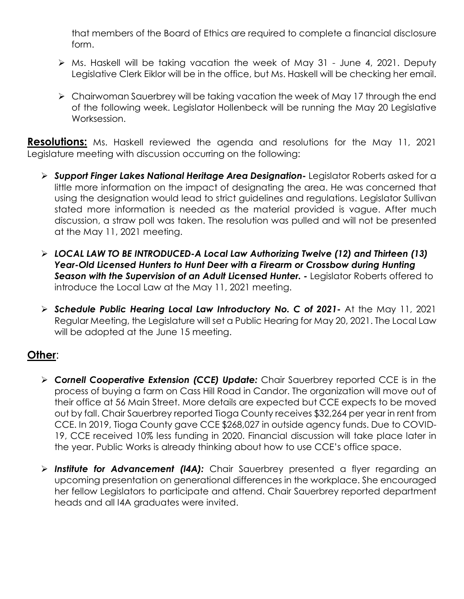that members of the Board of Ethics are required to complete a financial disclosure form.

- Ms. Haskell will be taking vacation the week of May 31 June 4, 2021. Deputy Legislative Clerk Eiklor will be in the office, but Ms. Haskell will be checking her email.
- Chairwoman Sauerbrey will be taking vacation the week of May 17 through the end of the following week. Legislator Hollenbeck will be running the May 20 Legislative Worksession.

**Resolutions:** Ms. Haskell reviewed the agenda and resolutions for the May 11, 2021 Legislature meeting with discussion occurring on the following:

- *Support Finger Lakes National Heritage Area Designation-* Legislator Roberts asked for a little more information on the impact of designating the area. He was concerned that using the designation would lead to strict guidelines and regulations. Legislator Sullivan stated more information is needed as the material provided is vague. After much discussion, a straw poll was taken. The resolution was pulled and will not be presented at the May 11, 2021 meeting.
- *LOCAL LAW TO BE INTRODUCED-A Local Law Authorizing Twelve (12) and Thirteen (13) Year-Old Licensed Hunters to Hunt Deer with a Firearm or Crossbow during Hunting Season with the Supervision of an Adult Licensed Hunter. -* Legislator Roberts offered to introduce the Local Law at the May 11, 2021 meeting.
- *Schedule Public Hearing Local Law Introductory No. C of 2021-* At the May 11, 2021 Regular Meeting, the Legislature will set a Public Hearing for May 20, 2021. The Local Law will be adopted at the June 15 meeting.

### **Other**:

- *Cornell Cooperative Extension (CCE) Update:* Chair Sauerbrey reported CCE is in the process of buying a farm on Cass Hill Road in Candor. The organization will move out of their office at 56 Main Street. More details are expected but CCE expects to be moved out by fall. Chair Sauerbrey reported Tioga County receives \$32,264 per year in rent from CCE. In 2019, Tioga County gave CCE \$268,027 in outside agency funds. Due to COVID-19, CCE received 10% less funding in 2020. Financial discussion will take place later in the year. Public Works is already thinking about how to use CCE's office space.
- *Institute for Advancement (I4A):* Chair Sauerbrey presented a flyer regarding an upcoming presentation on generational differences in the workplace. She encouraged her fellow Legislators to participate and attend. Chair Sauerbrey reported department heads and all I4A graduates were invited.